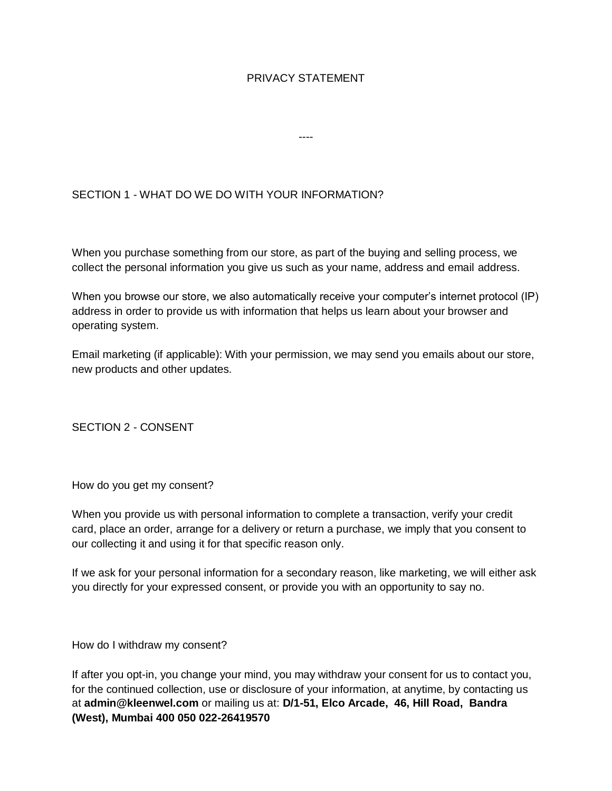## PRIVACY STATEMENT

----

# SECTION 1 - WHAT DO WE DO WITH YOUR INFORMATION?

When you purchase something from our store, as part of the buying and selling process, we collect the personal information you give us such as your name, address and email address.

When you browse our store, we also automatically receive your computer's internet protocol (IP) address in order to provide us with information that helps us learn about your browser and operating system.

Email marketing (if applicable): With your permission, we may send you emails about our store, new products and other updates.

SECTION 2 - CONSENT

How do you get my consent?

When you provide us with personal information to complete a transaction, verify your credit card, place an order, arrange for a delivery or return a purchase, we imply that you consent to our collecting it and using it for that specific reason only.

If we ask for your personal information for a secondary reason, like marketing, we will either ask you directly for your expressed consent, or provide you with an opportunity to say no.

How do I withdraw my consent?

If after you opt-in, you change your mind, you may withdraw your consent for us to contact you, for the continued collection, use or disclosure of your information, at anytime, by contacting us at **admin@kleenwel.com** or mailing us at: **D/1-51, Elco Arcade, 46, Hill Road, Bandra (West), Mumbai 400 050 022-26419570**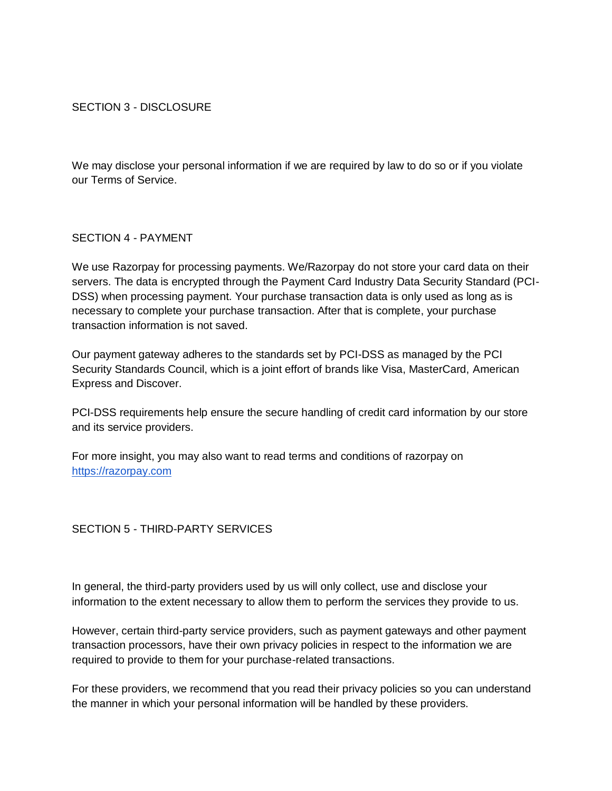## SECTION 3 - DISCLOSURE

We may disclose your personal information if we are required by law to do so or if you violate our Terms of Service.

#### SECTION 4 - PAYMENT

We use Razorpay for processing payments. We/Razorpay do not store your card data on their servers. The data is encrypted through the Payment Card Industry Data Security Standard (PCI-DSS) when processing payment. Your purchase transaction data is only used as long as is necessary to complete your purchase transaction. After that is complete, your purchase transaction information is not saved.

Our payment gateway adheres to the standards set by PCI-DSS as managed by the PCI Security Standards Council, which is a joint effort of brands like Visa, MasterCard, American Express and Discover.

PCI-DSS requirements help ensure the secure handling of credit card information by our store and its service providers.

For more insight, you may also want to read terms and conditions of razorpay on [https://razorpay.com](https://razorpay.com/)

## SECTION 5 - THIRD-PARTY SERVICES

In general, the third-party providers used by us will only collect, use and disclose your information to the extent necessary to allow them to perform the services they provide to us.

However, certain third-party service providers, such as payment gateways and other payment transaction processors, have their own privacy policies in respect to the information we are required to provide to them for your purchase-related transactions.

For these providers, we recommend that you read their privacy policies so you can understand the manner in which your personal information will be handled by these providers.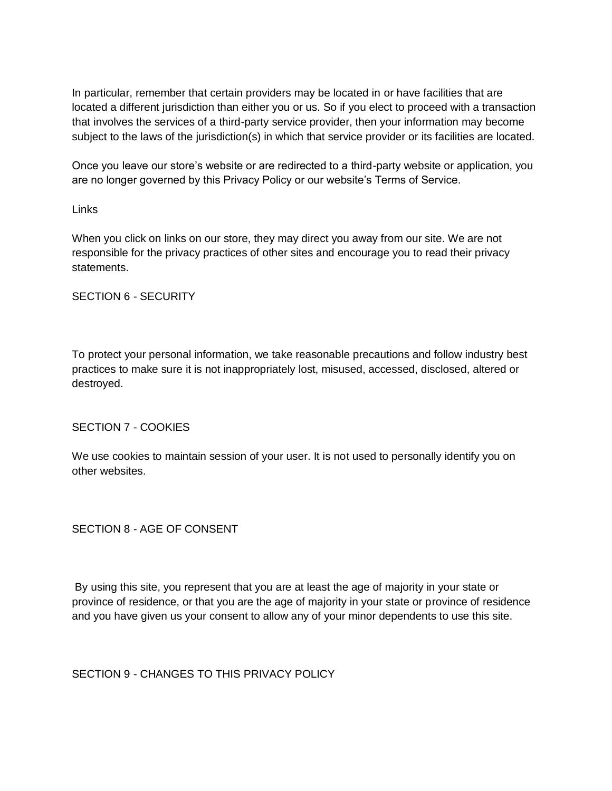In particular, remember that certain providers may be located in or have facilities that are located a different jurisdiction than either you or us. So if you elect to proceed with a transaction that involves the services of a third-party service provider, then your information may become subject to the laws of the jurisdiction(s) in which that service provider or its facilities are located.

Once you leave our store's website or are redirected to a third-party website or application, you are no longer governed by this Privacy Policy or our website's Terms of Service.

#### Links

When you click on links on our store, they may direct you away from our site. We are not responsible for the privacy practices of other sites and encourage you to read their privacy statements.

## SECTION 6 - SECURITY

To protect your personal information, we take reasonable precautions and follow industry best practices to make sure it is not inappropriately lost, misused, accessed, disclosed, altered or destroyed.

## SECTION 7 - COOKIES

We use cookies to maintain session of your user. It is not used to personally identify you on other websites.

## SECTION 8 - AGE OF CONSENT

By using this site, you represent that you are at least the age of majority in your state or province of residence, or that you are the age of majority in your state or province of residence and you have given us your consent to allow any of your minor dependents to use this site.

SECTION 9 - CHANGES TO THIS PRIVACY POLICY